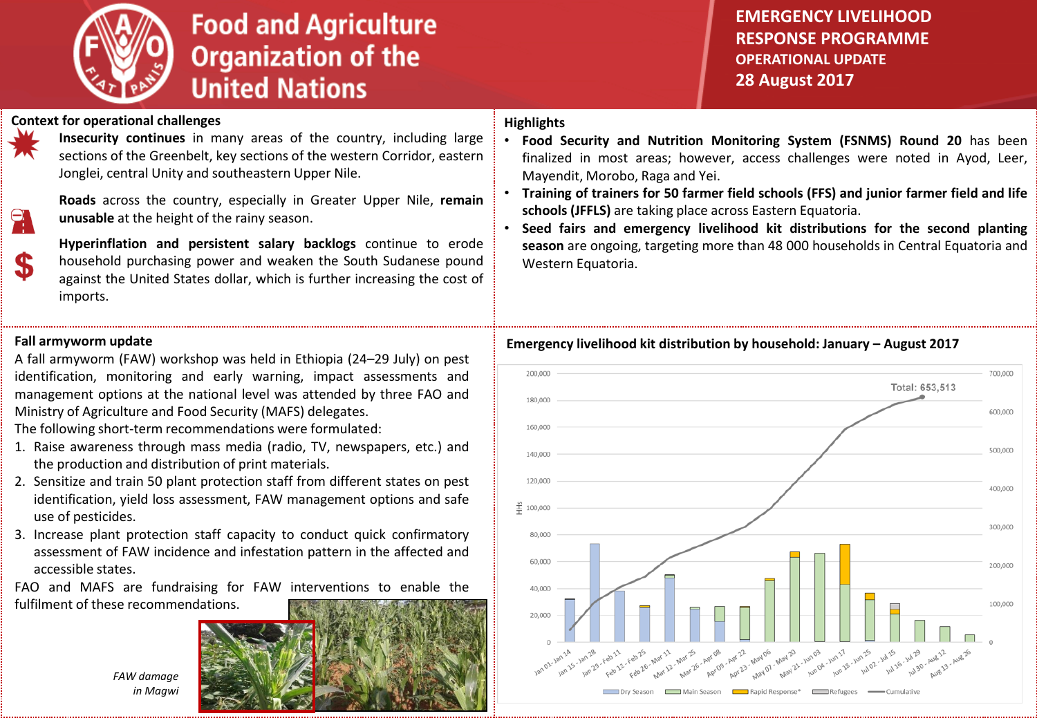

# **Food and Agriculture Organization of the United Nations**

**EMERGENCY LIVELIHOOD RESPONSE PROGRAMME OPERATIONAL UPDATE 28 August 2017**

## **Context for operational challenges**



\$

**Insecurity continues** in many areas of the country, including large sections of the Greenbelt, key sections of the western Corridor, eastern Jonglei, central Unity and southeastern Upper Nile.

**Roads** across the country, especially in Greater Upper Nile, **remain unusable** at the height of the rainy season.

**Hyperinflation and persistent salary backlogs** continue to erode household purchasing power and weaken the South Sudanese pound against the United States dollar, which is further increasing the cost of imports.

### **Fall armyworm update**

A fall armyworm (FAW) workshop was held in Ethiopia (24–29 July) on pest identification, monitoring and early warning, impact assessments and management options at the national level was attended by three FAO and Ministry of Agriculture and Food Security (MAFS) delegates.

The following short-term recommendations were formulated:

- 1. Raise awareness through mass media (radio, TV, newspapers, etc.) and the production and distribution of print materials.
- 2. Sensitize and train 50 plant protection staff from different states on pest identification, yield loss assessment, FAW management options and safe use of pesticides.
- 3. Increase plant protection staff capacity to conduct quick confirmatory assessment of FAW incidence and infestation pattern in the affected and accessible states.

FAO and MAFS are fundraising for FAW interventions to enable the fulfilment of these recommendations.

# *FAW damage in Magwi*



# **Highlights**

- **Food Security and Nutrition Monitoring System (FSNMS) Round 20** has been finalized in most areas; however, access challenges were noted in Ayod, Leer, Mayendit, Morobo, Raga and Yei.
- **Training of trainers for 50 farmer field schools (FFS) and junior farmer field and life schools (JFFLS)** are taking place across Eastern Equatoria.
- **Seed fairs and emergency livelihood kit distributions for the second planting season** are ongoing, targeting more than 48 000 households in Central Equatoria and Western Equatoria.